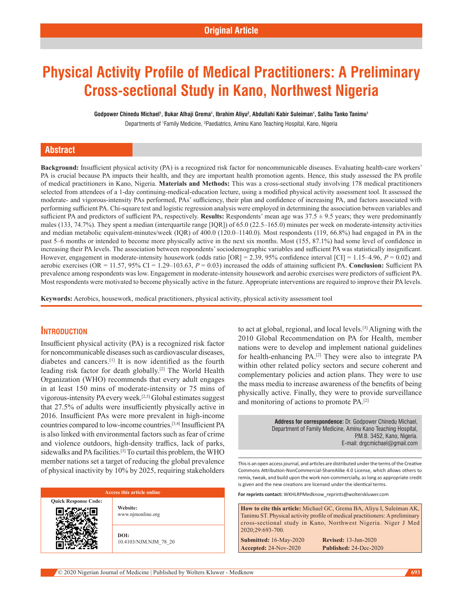# **Physical Activity Profile of Medical Practitioners: A Preliminary Cross-sectional Study in Kano, Northwest Nigeria**

**Godpower Chinedu Michael1 , Bukar Alhaji Grema1 , Ibrahim Aliyu2 , Abdullahi Kabir Suleiman1 , Salihu Tanko Tanimu1**

Departments of <sup>1</sup>Family Medicine, <sup>2</sup>Paediatrics, Aminu Kano Teaching Hospital, Kano, Nigeria

# **Abstract**

**Background:** Insufficient physical activity (PA) is a recognized risk factor for noncommunicable diseases. Evaluating health-care workers' PA is crucial because PA impacts their health, and they are important health promotion agents. Hence, this study assessed the PA profile of medical practitioners in Kano, Nigeria. **Materials and Methods:** This was a cross‑sectional study involving 178 medical practitioners selected from attendees of a 1-day continuing-medical-education lecture, using a modified physical activity assessment tool. It assessed the moderate‑ and vigorous‑intensity PAs performed, PAs' sufficiency, their plan and confidence of increasing PA, and factors associated with performing sufficient PA. Chi‑square test and logistic regression analysis were employed in determining the association between variables and sufficient PA and predictors of sufficient PA, respectively. **Results:** Respondents' mean age was 37.5 ± 9.5 years; they were predominantly males (133, 74.7%). They spent a median (interquartile range [IQR]) of 65.0 (22.5–165.0) minutes per week on moderate-intensity activities and median metabolic equivalent-minutes/week (IQR) of 400.0 (120.0–1140.0). Most respondents (119, 66.8%) had engaged in PA in the past 5–6 months or intended to become more physically active in the next six months. Most (155, 87.1%) had some level of confidence in increasing their PA levels. The association between respondents' sociodemographic variables and sufficient PA was statistically insignificant. However, engagement in moderate-intensity housework (odds ratio  $[OR] = 2.39$ , 95% confidence interval  $[CI] = 1.15-4.96$ ,  $P = 0.02$ ) and aerobic exercises (OR = 11.57, 95% CI = 1.29–103.63, *P* = 0.03) increased the odds of attaining sufficient PA. **Conclusion:** Sufficient PA prevalence among respondents was low. Engagement in moderate‑intensity housework and aerobic exercises were predictors of sufficient PA. Most respondents were motivated to become physically active in the future. Appropriate interventions are required to improve their PA levels.

**Keywords:** Aerobics, housework, medical practitioners, physical activity, physical activity assessment tool

# **Introduction**

Insufficient physical activity (PA) is a recognized risk factor for noncommunicable diseases such as cardiovascular diseases, diabetes and cancers.[1] It is now identified as the fourth leading risk factor for death globally.[2] The World Health Organization (WHO) recommends that every adult engages in at least 150 mins of moderate-intensity or 75 mins of vigorous‑intensity PA every week.[2,3] Global estimates suggest that 27.5% of adults were insufficiently physically active in 2016. Insufficient PAs were more prevalent in high-income countries compared to low‑income countries.[3,4] Insufficient PA is also linked with environmental factors such as fear of crime and violence outdoors, high-density traffics, lack of parks, sidewalks and PA facilities.<sup>[3]</sup> To curtail this problem, the WHO member nations set a target of reducing the global prevalence of physical inactivity by 10% by 2025, requiring stakeholders

#### **Access this article online**

**Quick Response Code: Website:**

www.njmonline.org

**DOI:** 10.4103/NJM.NJM\_78\_20 to act at global, regional, and local levels.[3] Aligning with the 2010 Global Recommendation on PA for Health, member nations were to develop and implement national guidelines for health-enhancing PA.<sup>[2]</sup> They were also to integrate PA within other related policy sectors and secure coherent and complementary policies and action plans. They were to use the mass media to increase awareness of the benefits of being physically active. Finally, they were to provide surveillance and monitoring of actions to promote PA.[2]

> **Address for correspondence:** Dr. Godpower Chinedu Michael, Department of Family Medicine, Aminu Kano Teaching Hospital, P.M.B. 3452, Kano, Nigeria. E-mail: drgcmichael@gmail.com

This is an open access journal, and articles are distributed under the terms of the Creative Commons Attribution‑NonCommercial‑ShareAlike 4.0 License, which allows others to remix, tweak, and build upon the work non‑commercially, as long as appropriate credit is given and the new creations are licensed under the identical terms.

**For reprints contact:** WKHLRPMedknow\_reprints@wolterskluwer.com

**How to cite this article:** Michael GC, Grema BA, Aliyu I, Suleiman AK, Tanimu ST. Physical activity profile of medical practitioners: A preliminary cross-sectional study in Kano, Northwest Nigeria. Niger J Med 2020;29:693-700.

**Submitted:** 16‑May‑2020 **Revised:** 13-Jun-2020 **Accepted:** 24-Nov-2020 **Published:** 24-Dec-2020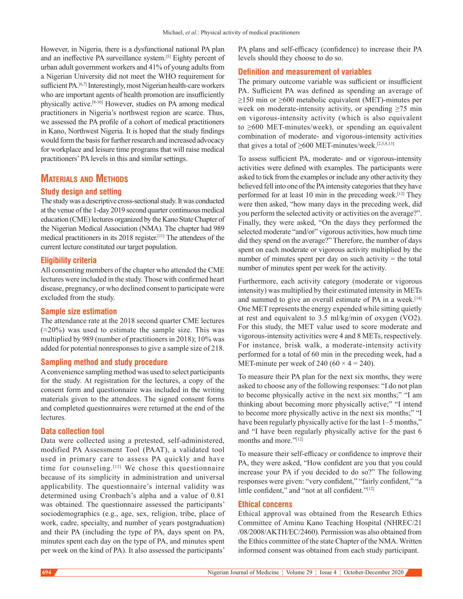However, in Nigeria, there is a dysfunctional national PA plan and an ineffective PA surveillance system.[5] Eighty percent of urban adult government workers and 41% of young adults from a Nigerian University did not meet the WHO requirement for sufficient PA.<sup>[6,7]</sup> Interestingly, most Nigerian health-care workers who are important agents of health promotion are insufficiently physically active.[8-10] However, studies on PA among medical practitioners in Nigeria's northwest region are scarce. Thus, we assessed the PA profile of a cohort of medical practitioners in Kano, Northwest Nigeria. It is hoped that the study findings would form the basis for further research and increased advocacy for workplace and leisure time programs that will raise medical practitioners' PA levels in this and similar settings.

# **Materials and Methods**

## **Study design and setting**

The study was a descriptive cross‑sectional study. It was conducted at the venue of the 1‑day 2019 second quarter continuous medical education (CME) lectures organized by the Kano State Chapter of the Nigerian Medical Association (NMA). The chapter had 989 medical practitioners in its 2018 register.[11] The attendees of the current lecture constituted our target population.

## **Eligibility criteria**

All consenting members of the chapter who attended the CME lectures were included in the study. Those with confirmed heart disease, pregnancy, or who declined consent to participate were excluded from the study.

## **Sample size estimation**

The attendance rate at the 2018 second quarter CME lectures  $(\approx 20\%)$  was used to estimate the sample size. This was multiplied by 989 (number of practitioners in 2018); 10% was added for potential nonresponses to give a sample size of 218.

#### **Sampling method and study procedure**

A convenience sampling method was used to select participants for the study. At registration for the lectures, a copy of the consent form and questionnaire was included in the writing materials given to the attendees. The signed consent forms and completed questionnaires were returned at the end of the lectures.

#### **Data collection tool**

Data were collected using a pretested, self-administered, modified PA Assessment Tool (PAAT), a validated tool used in primary care to assess PA quickly and have time for counseling.<sup>[12]</sup> We chose this questionnaire because of its simplicity in administration and universal applicability. The questionnaire's internal validity was determined using Cronbach's alpha and a value of 0.81 was obtained. The questionnaire assessed the participants' sociodemographics (e.g., age, sex, religion, tribe, place of work, cadre, specialty, and number of years postgraduation) and their PA (including the type of PA, days spent on PA, minutes spent each day on the type of PA, and minutes spent per week on the kind of PA). It also assessed the participants'

PA plans and self-efficacy (confidence) to increase their PA levels should they choose to do so.

## **Definition and measurement of variables**

The primary outcome variable was sufficient or insufficient PA. Sufficient PA was defined as spending an average of  $≥150$  min or  $≥600$  metabolic equivalent (MET)-minutes per week on moderate-intensity activity, or spending  $\geq 75$  min on vigorous‑intensity activity (which is also equivalent to  $\geq 600$  MET-minutes/week), or spending an equivalent combination of moderate‑ and vigorous‑intensity activities that gives a total of  $\geq$ 600 MET-minutes/week.<sup>[2,3,8,13]</sup>

To assess sufficient PA, moderate‑ and or vigorous‑intensity activities were defined with examples. The participants were asked to tick from the examples or include any other activity they believed fell into one of the PA intensity categories that they have performed for at least 10 min in the preceding week.<sup>[12]</sup> They were then asked, "how many days in the preceding week, did you perform the selected activity or activities on the average?". Finally, they were asked, "On the days they performed the selected moderate "and/or" vigorous activities, how much time did they spend on the average?" Therefore, the number of days spent on each moderate or vigorous activity multiplied by the number of minutes spent per day on such activity  $=$  the total number of minutes spent per week for the activity.

Furthermore, each activity category (moderate or vigorous intensity) was multiplied by their estimated intensity in METs and summed to give an overall estimate of PA in a week.<sup>[14]</sup> One MET represents the energy expended while sitting quietly at rest and equivalent to 3.5 ml/kg/min of oxygen (VO2). For this study, the MET value used to score moderate and vigorous‑intensity activities were 4 and 8 METs, respectively. For instance, brisk walk, a moderate-intensity activity performed for a total of 60 min in the preceding week, had a MET-minute per week of 240 (60  $\times$  4 = 240).

To measure their PA plan for the next six months, they were asked to choose any of the following responses: "I do not plan to become physically active in the next six months;" "I am thinking about becoming more physically active;" "I intend to become more physically active in the next six months;" "I have been regularly physically active for the last 1–5 months," and "I have been regularly physically active for the past 6 months and more."[12]

To measure their self‑efficacy or confidence to improve their PA, they were asked, "How confident are you that you could increase your PA if you decided to do so?" The following responses were given: "very confident," "fairly confident," "a little confident," and "not at all confident."[12]

#### **Ethical concerns**

Ethical approval was obtained from the Research Ethics Committee of Aminu Kano Teaching Hospital (NHREC/21 /08/2008/AKTH/EC/2460). Permission was also obtained from the Ethics committee of the state Chapter of the NMA. Written informed consent was obtained from each study participant.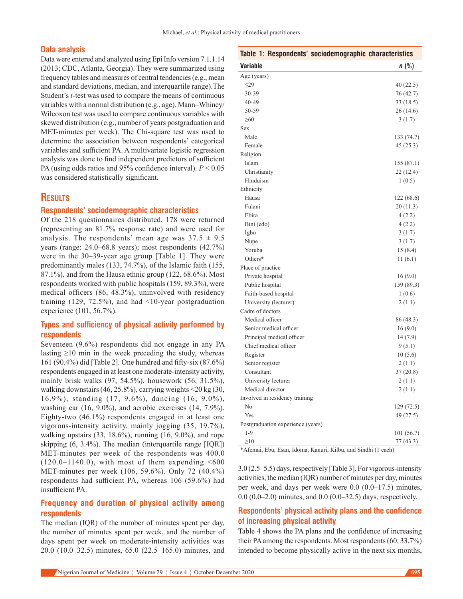## **Data analysis**

Data were entered and analyzed using Epi Info version 7.1.1.14 (2013; CDC, Atlanta, Georgia). They were summarized using frequency tables and measures of central tendencies(e.g., mean and standard deviations, median, and interquartile range).The Student's *t*-test was used to compare the means of continuous variables with a normal distribution (e.g., age). Mann–Whiney/ Wilcoxon test was used to compare continuous variables with skewed distribution (e.g., number of years postgraduation and MET-minutes per week). The Chi-square test was used to determine the association between respondents' categorical variables and sufficient PA. A multivariate logistic regression analysis was done to find independent predictors of sufficient PA (using odds ratios and 95% confidence interval). *P* < 0.05 was considered statistically significant.

## **Results**

#### **Respondents' sociodemographic characteristics**

Of the 218 questionnaires distributed, 178 were returned (representing an 81.7% response rate) and were used for analysis. The respondents' mean age was  $37.5 \pm 9.5$ years (range: 24.0–68.8 years); most respondents (42.7%) were in the 30–39‑year age group [Table 1]. They were predominantly males (133, 74.7%), of the Islamic faith (155, 87.1%), and from the Hausa ethnic group (122, 68.6%). Most respondents worked with public hospitals (159, 89.3%), were medical officers (86, 48.3%), uninvolved with residency training  $(129, 72.5\%)$ , and had <10-year postgraduation experience (101, 56.7%).

# **Types and sufficiency of physical activity performed by respondents**

Seventeen (9.6%) respondents did not engage in any PA lasting  $\geq 10$  min in the week preceding the study, whereas 161 (90.4%) did [Table 2]. One hundred and fifty‑six (87.6%) respondents engaged in at least one moderate‑intensity activity, mainly brisk walks (97, 54.5%), housework (56, 31.5%), walking downstairs(46, 25.8%), carrying weights <20 kg (30, 16.9%), standing (17, 9.6%), dancing (16, 9.0%), washing car (16, 9.0%), and aerobic exercises (14, 7.9%). Eighty-two  $(46.1\%)$  respondents engaged in at least one vigorous‑intensity activity, mainly jogging (35, 19.7%), walking upstairs  $(33, 18.6\%)$ , running  $(16, 9.0\%)$ , and rope skipping (6, 3.4%). The median (interquartile range [IQR]) MET-minutes per week of the respondents was 400.0  $(120.0-1140.0)$ , with most of them expending <600 MET-minutes per week (106, 59.6%). Only 72 (40.4%) respondents had sufficient PA, whereas 106 (59.6%) had insufficient PA.

# **Frequency and duration of physical activity among respondents**

The median (IQR) of the number of minutes spent per day, the number of minutes spent per week, and the number of days spent per week on moderate‑intensity activities was 20.0 (10.0–32.5) minutes, 65.0 (22.5–165.0) minutes, and

|                                   | Table 1: Respondents' sociodemographic characteristics |
|-----------------------------------|--------------------------------------------------------|
| Variable                          | $n$ (%)                                                |
| Age (years)                       |                                                        |
| $\leq$ 29                         | 40 (22.5)                                              |
| 30-39                             | 76 (42.7)                                              |
| 40-49                             | 33 (18.5)                                              |
| 50-59                             | 26(14.6)                                               |
| $\geq 60$                         | 3(1.7)                                                 |
| Sex                               |                                                        |
| Male                              | 133 (74.7)                                             |
| Female                            | 45(25.3)                                               |
| Religion                          |                                                        |
| Islam                             | 155 (87.1)                                             |
| Christianity                      | 22(12.4)                                               |
| Hinduism                          | 1(0.5)                                                 |
| Ethnicity                         |                                                        |
| Hausa                             | 122 (68.6)                                             |
| Fulani                            | 20(11.3)                                               |
| Ebira                             | 4(2.2)                                                 |
| Bini (edo)                        | 4(2.2)                                                 |
| Igbo                              | 3(1.7)                                                 |
| Nupe                              | 3(1.7)                                                 |
| Yoruba                            | 15 (8.4)                                               |
| Others*                           | 11(6.1)                                                |
| Place of practice                 |                                                        |
| Private hospital                  | 16(9.0)                                                |
| Public hospital                   | 159 (89.3)                                             |
| Faith-based hospital              | 1(0.6)                                                 |
| University (lecturer)             | 2(1.1)                                                 |
| Cadre of doctors                  |                                                        |
| Medical officer                   | 86 (48.3)                                              |
| Senior medical officer            | 16(9.0)                                                |
| Principal medical officer         | 14(7.9)                                                |
| Chief medical officer             | 9(5.1)                                                 |
| Register                          | 10(5.6)                                                |
| Senior register                   | 2(1.1)                                                 |
| Consultant                        | 37(20.8)                                               |
| University lecturer               | 2(1.1)                                                 |
| Medical director                  | 2(1.1)                                                 |
| Involved in residency training    |                                                        |
| No                                | 129 (72.5)                                             |
| Yes                               | 49(27.5)                                               |
| Postgraduation experience (years) |                                                        |
| $1-9$                             | 101(56.7)                                              |
| $\geq10$                          | 77 (43.3)                                              |

\*Afemai, Ebu, Esan, Idoma, Kanuri, Kilbu, and Sindhi (1 each)

3.0 (2.5–5.5) days, respectively [Table 3]. For vigorous‑intensity activities, the median (IQR) number of minutes per day, minutes per week, and days per week were 0.0 (0.0–17.5) minutes, 0.0 (0.0–2.0) minutes, and 0.0 (0.0–32.5) days, respectively.

# **Respondents' physical activity plans and the confidence of increasing physical activity**

Table 4 shows the PA plans and the confidence of increasing their PA among the respondents. Most respondents(60, 33.7%) intended to become physically active in the next six months,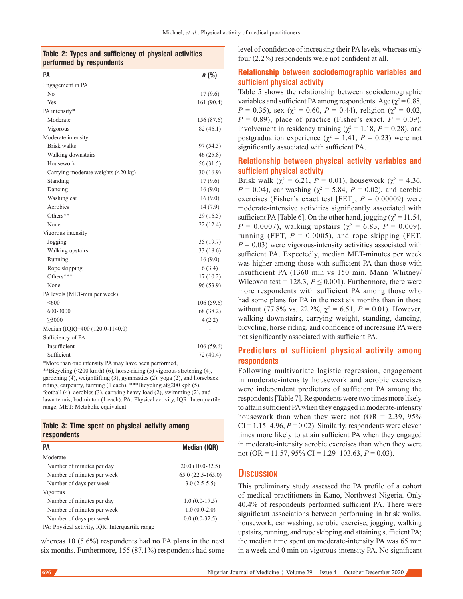## **Table 2: Types and sufficiency of physical activities performed by respondents**

| PA                                               | $n$ (%)    |
|--------------------------------------------------|------------|
| Engagement in PA                                 |            |
| No                                               | 17(9.6)    |
| Yes                                              | 161 (90.4) |
| PA intensity*                                    |            |
| Moderate                                         | 156 (87.6) |
| Vigorous                                         | 82(46.1)   |
| Moderate intensity                               |            |
| <b>Brisk walks</b>                               | 97 (54.5)  |
| Walking downstairs                               | 46(25.8)   |
| Housework                                        | 56(31.5)   |
| Carrying moderate weights $(\leq 20 \text{ kg})$ | 30(16.9)   |
| Standing                                         | 17(9.6)    |
| Dancing                                          | 16(9.0)    |
| Washing car                                      | 16(9.0)    |
| Aerobics                                         | 14(7.9)    |
| Others**                                         | 29(16.5)   |
| None                                             | 22 (12.4)  |
| Vigorous intensity                               |            |
| Jogging                                          | 35(19.7)   |
| Walking upstairs                                 | 33 (18.6)  |
| Running                                          | 16(9.0)    |
| Rope skipping                                    | 6(3.4)     |
| Others***                                        | 17(10.2)   |
| None                                             | 96 (53.9)  |
| PA levels (MET-min per week)                     |            |
| < 600                                            | 106(59.6)  |
| 600-3000                                         | 68 (38.2)  |
| >3000                                            | 4(2.2)     |
| Median (IQR)=400 (120.0-1140.0)                  |            |
| Sufficiency of PA                                |            |
| Insufficient                                     | 106(59.6)  |
| Sufficient                                       | 72 (40.4)  |

\*More than one intensity PA may have been performed,

\*\*Bicycling (<200 km/h) (6), horse‑riding (5) vigorous stretching (4), gardening (4), weightlifting (3), gymnastics (2), yoga (2), and horseback riding, carpentry, farming (1 each), \*\*\*Bicycling at≥200 kph (5), football (4), aerobics (3), carrying heavy load (2), swimming (2), and lawn tennis, badminton (1 each). PA: Physical activity, IQR: Interquartile range, MET: Metabolic equivalent

## **Table 3: Time spent on physical activity among respondents**

| PА                         | Median (IQR)       |
|----------------------------|--------------------|
| Moderate                   |                    |
| Number of minutes per day  | $20.0(10.0-32.5)$  |
| Number of minutes per week | $65.0(22.5-165.0)$ |
| Number of days per week    | $3.0(2.5-5.5)$     |
| Vigorous                   |                    |
| Number of minutes per day  | $1.0(0.0-17.5)$    |
| Number of minutes per week | $1.0(0.0-2.0)$     |
| Number of days per week    | $0.0(0.0-32.5)$    |

PA: Physical activity, IQR: Interquartile range

whereas 10 (5.6%) respondents had no PA plans in the next six months. Furthermore, 155 (87.1%) respondents had some level of confidence of increasing their PA levels, whereas only four (2.2%) respondents were not confident at all.

# **Relationship between sociodemographic variables and sufficient physical activity**

Table 5 shows the relationship between sociodemographic variables and sufficient PA among respondents. Age ( $\chi^2$  = 0.88, *P* = 0.35), sex ( $\chi^2$  = 0.60, *P* = 0.44), religion ( $\chi^2$  = 0.02,  $P = 0.89$ ), place of practice (Fisher's exact,  $P = 0.09$ ), involvement in residency training ( $\chi^2 = 1.18$ ,  $P = 0.28$ ), and postgraduation experience ( $\chi^2 = 1.41$ ,  $P = 0.23$ ) were not significantly associated with sufficient PA.

# **Relationship between physical activity variables and sufficient physical activity**

Brisk walk ( $\chi^2 = 6.21$ ,  $P = 0.01$ ), housework ( $\chi^2 = 4.36$ , *P* = 0.04), car washing ( $\chi^2$  = 5.84, *P* = 0.02), and aerobic exercises (Fisher's exact test [FET],  $P = 0.00009$ ) were moderate‑intensive activities significantly associated with sufficient PA [Table 6]. On the other hand, jogging ( $\chi^2$  = 11.54, *P* = 0.0007), walking upstairs ( $\chi^2$  = 6.83, *P* = 0.009), running (FET,  $P = 0.0005$ ), and rope skipping (FET,  $P = 0.03$ ) were vigorous-intensity activities associated with sufficient PA. Expectedly, median MET-minutes per week was higher among those with sufficient PA than those with insufficient PA (1360 min vs 150 min, Mann–Whitney/ Wilcoxon test = 128.3,  $P \leq 0.001$ ). Furthermore, there were more respondents with sufficient PA among those who had some plans for PA in the next six months than in those without (77.8% vs. 22.2%,  $\chi^2 = 6.51$ ,  $P = 0.01$ ). However, walking downstairs, carrying weight, standing, dancing, bicycling, horse riding, and confidence of increasing PA were not significantly associated with sufficient PA.

## **Predictors of sufficient physical activity among respondents**

Following multivariate logistic regression, engagement in moderate-intensity housework and aerobic exercises were independent predictors of sufficient PA among the respondents [Table 7]. Respondents were two times more likely to attain sufficient PA when they engaged in moderate‑intensity housework than when they were not  $(OR = 2.39, 95\%)$  $CI = 1.15-4.96, P = 0.02$ . Similarly, respondents were eleven times more likely to attain sufficient PA when they engaged in moderate-intensity aerobic exercises than when they were not (OR = 11.57, 95% CI = 1.29–103.63, *P* = 0.03).

# **Discussion**

This preliminary study assessed the PA profile of a cohort of medical practitioners in Kano, Northwest Nigeria. Only 40.4% of respondents performed sufficient PA. There were significant associations between performing in brisk walks, housework, car washing, aerobic exercise, jogging, walking upstairs, running, and rope skipping and attaining sufficient PA; the median time spent on moderate‑intensity PA was 65 min in a week and 0 min on vigorous-intensity PA. No significant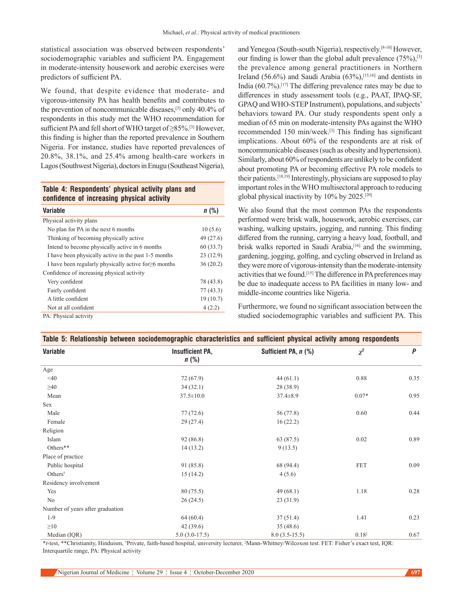statistical association was observed between respondents' sociodemographic variables and sufficient PA. Engagement in moderate-intensity housework and aerobic exercises were predictors of sufficient PA.

We found, that despite evidence that moderate- and vigorous‑intensity PA has health benefits and contributes to the prevention of noncommunicable diseases,[3] only 40.4% of respondents in this study met the WHO recommendation for sufficient PA and fell short of WHO target of ≥85%.[3] However, this finding is higher than the reported prevalence in Southern Nigeria. For instance, studies have reported prevalences of 20.8%, 38.1%, and 25.4% among health‑care workers in Lagos(Southwest Nigeria), doctors in Enugu (Southeast Nigeria),

## **Table 4: Respondents' physical activity plans and confidence of increasing physical activity**

| <b>Variable</b>                                             | n(%)      |
|-------------------------------------------------------------|-----------|
| Physical activity plans                                     |           |
| No plan for PA in the next 6 months                         | 10(5.6)   |
| Thinking of becoming physically active                      | 49 (27.6) |
| Intend to become physically active in 6 months              | 60(33.7)  |
| I have been physically active in the past 1-5 months        | 23(12.9)  |
| I have been regularly physically active for $\geq 6$ months | 36(20.2)  |
| Confidence of increasing physical activity                  |           |
| Very confident                                              | 78 (43.8) |
| Fairly confident                                            | 77(43.3)  |
| A little confident                                          | 19(10.7)  |
| Not at all confident                                        | 4(2.2)    |
| PA: Physical activity                                       |           |

and Yenegoa (South-south Nigeria), respectively.<sup>[8-10]</sup> However, our finding is lower than the global adult prevalence  $(75\%)$ , [3] the prevalence among general practitioners in Northern Ireland (56.6%) and Saudi Arabia (63%),[15,16] and dentists in India (60.7%).[17] The differing prevalence rates may be due to differences in study assessment tools (e.g., PAAT, IPAQ‑SF, GPAQ and WHO‑STEP Instrument), populations, and subjects' behaviors toward PA. Our study respondents spent only a median of 65 min on moderate‑intensity PAs against the WHO recommended 150 min/week.[3] This finding has significant implications. About 60% of the respondents are at risk of noncommunicable diseases(such as obesity and hypertension). Similarly, about 60% of respondents are unlikely to be confident about promoting PA or becoming effective PA role models to their patients.[18,19] Interestingly, physicians are supposed to play important roles in the WHO multisectoral approach to reducing global physical inactivity by 10% by 2025.[20]

We also found that the most common PAs the respondents performed were brisk walk, housework, aerobic exercises, car washing, walking upstairs, jogging, and running. This finding differed from the running, carrying a heavy load, football, and brisk walks reported in Saudi Arabia,<sup>[16]</sup> and the swimming, gardening, jogging, golfing, and cycling observed in Ireland as they were more of vigorous‑intensity than the moderate‑intensity activities that we found.[15] The difference in PA preferences may be due to inadequate access to PA facilities in many low- and middle‑income countries like Nigeria.

Furthermore, we found no significant association between the studied sociodemographic variables and sufficient PA. This

| Table 5: Relationship between sociodemographic characteristics and sufficient physical activity among respondents |                                    |                      |            |      |
|-------------------------------------------------------------------------------------------------------------------|------------------------------------|----------------------|------------|------|
| Variable                                                                                                          | <b>Insufficient PA,</b><br>$n$ (%) | Sufficient PA, n (%) | $\chi^2$   | P    |
| Age                                                                                                               |                                    |                      |            |      |
| $<$ 40                                                                                                            | 72 (67.9)                          | 44(61.1)             | 0.88       | 0.35 |
| $\geq 40$                                                                                                         | 34(32.1)                           | 28 (38.9)            |            |      |
| Mean                                                                                                              | $37.5 \pm 10.0$                    | $37.4 \pm 8.9$       | $0.07*$    | 0.95 |
| Sex                                                                                                               |                                    |                      |            |      |
| Male                                                                                                              | 77(72.6)                           | 56 (77.8)            | 0.60       | 0.44 |
| Female                                                                                                            | 29(27.4)                           | 16(22.2)             |            |      |
| Religion                                                                                                          |                                    |                      |            |      |
| Islam                                                                                                             | 92(86.8)                           | 63 (87.5)            | 0.02       | 0.89 |
| Others**                                                                                                          | 14(13.2)                           | 9(13.5)              |            |      |
| Place of practice                                                                                                 |                                    |                      |            |      |
| Public hospital                                                                                                   | 91 (85.8)                          | 68 (94.4)            | <b>FET</b> | 0.09 |
| Others <sup>†</sup>                                                                                               | 15(14.2)                           | 4(5.6)               |            |      |
| Residency involvement                                                                                             |                                    |                      |            |      |
| Yes                                                                                                               | 80 (75.5)                          | 49(68.1)             | 1.18       | 0.28 |
| No                                                                                                                | 26(24.5)                           | 23 (31.9)            |            |      |
| Number of years after graduation                                                                                  |                                    |                      |            |      |
| $1 - 9$                                                                                                           | 64(60.4)                           | 37(51.4)             | 1.41       | 0.23 |
| $\geq 10$                                                                                                         | 42(39.6)                           | 35(48.6)             |            |      |
| Median (IQR)                                                                                                      | $5.0(3.0-17.5)$                    | $8.0(3.5-15.5)$      | $0.18*$    | 0.67 |

\**t*‑test, \*\*Christianity, Hinduism, † Private, faith‑based hospital, university lecturer, ‡ Mann-Whitney/Wilcoxon test. FET: Fisher's exact test, IQR: Interquartile range, PA: Physical activity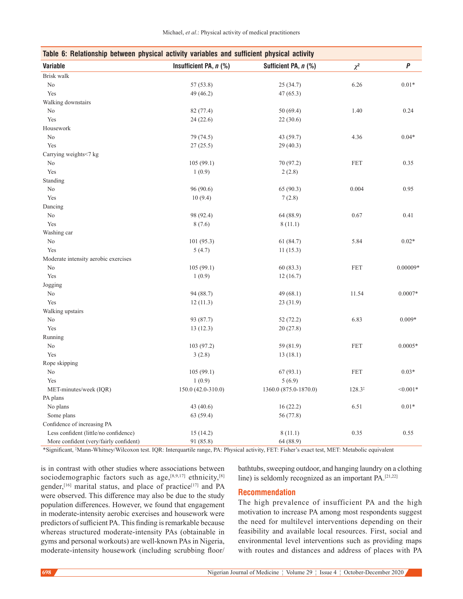| Table 6: Relationship between physical activity variables and sufficient physical activity |                          |                       |                      |            |
|--------------------------------------------------------------------------------------------|--------------------------|-----------------------|----------------------|------------|
| <b>Variable</b>                                                                            | Insufficient PA, $n$ (%) | Sufficient PA, n (%)  | $\chi^2$             | $\pmb{P}$  |
| Brisk walk                                                                                 |                          |                       |                      |            |
| $\rm No$                                                                                   | 57(53.8)                 | 25(34.7)              | 6.26                 | $0.01*$    |
| Yes                                                                                        | 49 (46.2)                | 47(65.3)              |                      |            |
| Walking downstairs                                                                         |                          |                       |                      |            |
| No                                                                                         | 82 (77.4)                | 50(69.4)              | 1.40                 | 0.24       |
| Yes                                                                                        | 24(22.6)                 | 22(30.6)              |                      |            |
| Housework                                                                                  |                          |                       |                      |            |
| No                                                                                         | 79 (74.5)                | 43 (59.7)             | 4.36                 | $0.04*$    |
| Yes                                                                                        | 27(25.5)                 | 29(40.3)              |                      |            |
| Carrying weights<7 kg                                                                      |                          |                       |                      |            |
| No                                                                                         | 105(99.1)                | 70 (97.2)             | $\operatorname{FET}$ | 0.35       |
| Yes                                                                                        | 1(0.9)                   | 2(2.8)                |                      |            |
| Standing                                                                                   |                          |                       |                      |            |
| No                                                                                         | 96 (90.6)                | 65 (90.3)             | 0.004                | 0.95       |
| Yes                                                                                        | 10(9.4)                  | 7(2.8)                |                      |            |
| Dancing                                                                                    |                          |                       |                      |            |
| No                                                                                         | 98 (92.4)                | 64 (88.9)             | 0.67                 | 0.41       |
| Yes                                                                                        | 8(7.6)                   | 8(11.1)               |                      |            |
| Washing car                                                                                |                          |                       |                      |            |
| No                                                                                         | 101 (95.3)               | 61 (84.7)             | 5.84                 | $0.02*$    |
| Yes                                                                                        | 5(4.7)                   | 11(15.3)              |                      |            |
| Moderate intensity aerobic exercises                                                       |                          |                       |                      |            |
| No                                                                                         | 105(99.1)                | 60(83.3)              | FET                  | $0.00009*$ |
| Yes                                                                                        | 1(0.9)                   | 12(16.7)              |                      |            |
| Jogging                                                                                    |                          |                       |                      |            |
| No                                                                                         | 94 (88.7)                | 49(68.1)              | 11.54                | $0.0007*$  |
| Yes                                                                                        | 12(11.3)                 | 23(31.9)              |                      |            |
| Walking upstairs                                                                           |                          |                       |                      |            |
| No                                                                                         | 93 (87.7)                | 52(72.2)              | 6.83                 | $0.009*$   |
| Yes                                                                                        | 13(12.3)                 | 20(27.8)              |                      |            |
| Running                                                                                    |                          |                       |                      |            |
| No                                                                                         | 103 (97.2)               | 59 (81.9)             | FET                  | $0.0005*$  |
| Yes                                                                                        | 3(2.8)                   | 13(18.1)              |                      |            |
| Rope skipping                                                                              |                          |                       |                      |            |
| No                                                                                         | 105(99.1)                | 67(93.1)              | <b>FET</b>           | $0.03*$    |
| Yes                                                                                        | 1(0.9)                   | 5(6.9)                |                      |            |
| MET-minutes/week (IQR)                                                                     | $150.0(42.0-310.0)$      | 1360.0 (875.0-1870.0) | $128.3^{\ddagger}$   | $< 0.001*$ |
| PA plans                                                                                   |                          |                       |                      |            |
| No plans                                                                                   | 43 (40.6)                | 16(22.2)              | 6.51                 | $0.01*$    |
| Some plans                                                                                 | 63 (59.4)                | 56 (77.8)             |                      |            |
| Confidence of increasing PA                                                                |                          |                       |                      |            |
| Less confident (little/no confidence)                                                      | 15(14.2)                 | 8(11.1)               | 0.35                 | 0.55       |
| More confident (very/fairly confident)                                                     | 91 (85.8)                | 64 (88.9)             |                      |            |

\*Significant, ‡ Mann-Whitney/Wilcoxon test. IQR: Interquartile range, PA: Physical activity, FET: Fisher's exact test, MET: Metabolic equivalent

is in contrast with other studies where associations between sociodemographic factors such as  $age, [8,9,17]$  ethnicity,  $[8]$ gender,<sup>[16]</sup> marital status, and place of practice<sup>[17]</sup> and PA were observed. This difference may also be due to the study population differences. However, we found that engagement in moderate-intensity aerobic exercises and housework were predictors of sufficient PA. This finding is remarkable because whereas structured moderate-intensity PAs (obtainable in gyms and personal workouts) are well-known PAs in Nigeria, moderate-intensity housework (including scrubbing floor/

## bathtubs, sweeping outdoor, and hanging laundry on a clothing line) is seldomly recognized as an important PA.[21,22]

## **Recommendation**

The high prevalence of insufficient PA and the high motivation to increase PA among most respondents suggest the need for multilevel interventions depending on their feasibility and available local resources. First, social and environmental level interventions such as providing maps with routes and distances and address of places with PA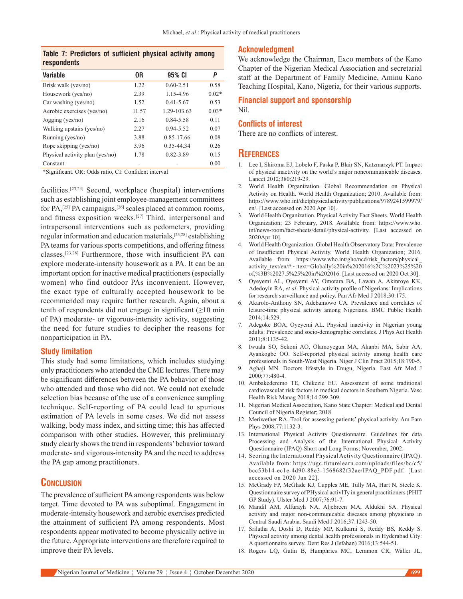## **Table 7: Predictors of sufficient physical activity among respondents**

| <b>Variable</b>                 | 0R    | 95% CI        | Ρ       |
|---------------------------------|-------|---------------|---------|
| Brisk walk (yes/no)             | 1.22  | $0.60 - 2.51$ | 0.58    |
| Housework (yes/no)              | 2.39  | 1.15-4.96     | $0.02*$ |
| Car washing (yes/no)            | 1.52  | $0.41 - 5.67$ | 0.53    |
| Aerobic exercises (yes/no)      | 11.57 | 1.29-103.63   | $0.03*$ |
| $Jogging$ (yes/no)              | 2.16  | 0.84-5.58     | 0.11    |
| Walking upstairs (yes/no)       | 2.27  | $0.94 - 5.52$ | 0.07    |
| Running (yes/no)                | 3.88  | 0.85-17.66    | 0.08    |
| Rope skipping (yes/no)          | 3.96  | 0.35-44.34    | 0.26    |
| Physical activity plan (yes/no) | 1.78  | 0.82-3.89     | 0.15    |
| Constant                        |       |               | 0.00    |

\*Significant. OR: Odds ratio, CI: Confident interval

facilities.[23,24] Second, workplace (hospital) interventions such as establishing joint employee-management committees for PA,<sup>[25]</sup> PA campaigns,<sup>[26]</sup> scales placed at common rooms, and fitness exposition weeks.[27] Third, interpersonal and intrapersonal interventions such as pedometers, providing regular information and education materials,[23,28] establishing PA teams for various sports competitions, and offering fitness classes.[23,28] Furthermore, those with insufficient PA can explore moderate‑intensity housework as a PA. It can be an important option for inactive medical practitioners(especially women) who find outdoor PAs inconvenient. However, the exact type of culturally accepted housework to be recommended may require further research. Again, about a tenth of respondents did not engage in significant  $(\geq 10 \text{ min})$ of PA) moderate‑ or vigorous‑intensity activity, suggesting the need for future studies to decipher the reasons for nonparticipation in PA.

## **Study limitation**

This study had some limitations, which includes studying only practitioners who attended the CME lectures. There may be significant differences between the PA behavior of those who attended and those who did not. We could not exclude selection bias because of the use of a convenience sampling technique. Self‑reporting of PA could lead to spurious estimation of PA levels in some cases. We did not assess walking, body mass index, and sitting time; this has affected comparison with other studies. However, this preliminary study clearly shows the trend in respondents' behavior toward moderate‑ and vigorous‑intensity PA and the need to address the PA gap among practitioners.

# **Conclusion**

The prevalence of sufficient PA among respondents was below target. Time devoted to PA was suboptimal. Engagement in moderate‑intensity housework and aerobic exercises predicted the attainment of sufficient PA among respondents. Most respondents appear motivated to become physically active in the future. Appropriate interventions are therefore required to improve their PA levels.

## **Acknowledgment**

We acknowledge the Chairman, Exco members of the Kano Chapter of the Nigerian Medical Association and secretarial staff at the Department of Family Medicine, Aminu Kano Teaching Hospital, Kano, Nigeria, for their various supports.

## **Financial support and sponsorship** Nil.

#### **Conflicts of interest**

There are no conflicts of interest.

## **References**

- 1. Lee I, Shiroma EJ, Lobelo F, Paska P, Blair SN, Katzmarzyk PT. Impact of physical inactivity on the world's major noncommunicable diseases. Lancet 2012;380:219-29.
- 2. World Health Organization. Global Recommendation on Physical Activity on Health. World Health Organization; 2010. Available from: https://www.who.int/dietphysicalactivity/publications/9789241599979/ en/. [Last accessed on 2020 Apr 10].
- 3. World Health Organization. Physical Activity Fact Sheets. World Health Organization; 23 February, 2018. Available from: https://www.who. int/news-room/fact-sheets/detail/physical-activity. [Last accessed on 2020Apr 10].
- 4. World Health Organization. Global Health Observatory Data: Prevalence of Insufficient Physical Activity. World Health Organization; 2016. Available from: https://www.who.int/gho/ncd/risk factors/physical activity\_text/en/#:~:text=Globally%20in%202016%2C%2023%25%20 of,%3B%2027.5%25%20in%202016. [Last accessed on 2020 Oct 30].
- 5. Oyeyemi AL, Oyeyemi AY, Omotara BA, Lawan A, Akinroye KK, Adedoyin RA, *et al*. Physical activity profile of Nigerians: Implications for research surveillance and policy. Pan Afr Med J 2018;30:175.
- 6. Akarolo‑Anthony SN, Adebamowo CA. Prevalence and correlates of leisure‑time physical activity among Nigerians. BMC Public Health 2014;14:529.
- 7. Adegoke BOA, Oyeyemi AL. Physical inactivity in Nigerian young adults: Prevalence and socio‑demographic correlates. J Phys Act Health 2011;8:1135‑42.
- 8. Iwuala SO, Sekoni AO, Olamoyegun MA, Akanbi MA, Sabir AA, Ayankogbe OO. Self‑reported physical activity among health care professionals in South-West Nigeria. Niger J Clin Pract 2015;18:790-5.
- 9. Aghaji MN. Doctors lifestyle in Enugu, Nigeria. East Afr Med J 2000;77:480‑4.
- 10. Ambakederemo TE, Chikezie EU. Assessment of some traditional cardiovascular risk factors in medical doctors in Southern Nigeria. Vasc Health Risk Manag 2018;14:299‑309.
- 11. Nigerian Medical Association, Kano State Chapter: Medical and Dental Council of Nigeria Register; 2018.
- 12. Meriwether RA. Tool for assessing patients' physical activity. Am Fam Phys 2008;77:1132‑3.
- 13. International Physical Activity Questionnaire. Guidelines for data Processing and Analysis of the International Physical Activity Questionnaire (IPAQ)‑Short and Long Forms; November, 2002.
- 14. Scoring the International Physical Activity Questionnaire (IPAQ). Available from: https://ugc.futurelearn.com/uploads/files/bc/c5/ bcc53b14‑ec1e‑4d90‑88e3‑1568682f32ae/IPAQ\_PDF.pdf. [Last accessed on 2020 Jan 22].
- 15. McGrady FP, McGlade KJ, Cupples ME, Tully MA, Hart N, Steele K. Questionnaire survey of PHysical activITy in general practitioners(PHIT GP Study). Ulster Med J 2007;76:91‑7.
- 16. Mandil AM, Alfurayh NA, Aljebreen MA, Aldukhi SA. Physical activity and major non‑communicable diseases among physicians in Central Saudi Arabia. Saudi Med J 2016;37:1243‑50.
- 17. Srilatha A, Doshi D, Reddy MP, Kulkarni S, Reddy BS, Reddy S. Physical activity among dental health professionals in Hyderabad City: A questionnaire survey. Dent Res J (Isfahan) 2016;13:544‑51.
- 18. Rogers LQ, Gutin B, Humphries MC, Lemmon CR, Waller JL,